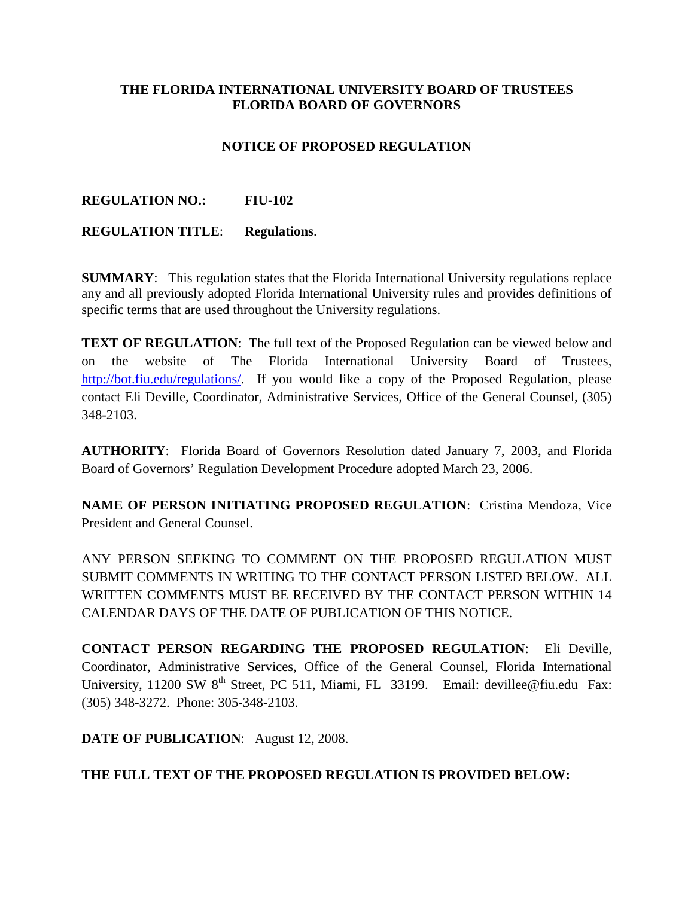## **THE FLORIDA INTERNATIONAL UNIVERSITY BOARD OF TRUSTEES FLORIDA BOARD OF GOVERNORS**

# **NOTICE OF PROPOSED REGULATION**

## **REGULATION NO.: FIU-102**

### **REGULATION TITLE**: **Regulations**.

**SUMMARY**: This regulation states that the Florida International University regulations replace any and all previously adopted Florida International University rules and provides definitions of specific terms that are used throughout the University regulations.

**TEXT OF REGULATION:** The full text of the Proposed Regulation can be viewed below and on the website of The Florida International University Board of Trustees, [http://bot.fiu.edu/regulations/.](http://bot.fiu.edu/regulations/) If you would like a copy of the Proposed Regulation, please contact Eli Deville, Coordinator, Administrative Services, Office of the General Counsel, (305) 348-2103.

**AUTHORITY**: Florida Board of Governors Resolution dated January 7, 2003, and Florida Board of Governors' Regulation Development Procedure adopted March 23, 2006.

**NAME OF PERSON INITIATING PROPOSED REGULATION: Cristina Mendoza, Vice** President and General Counsel.

ANY PERSON SEEKING TO COMMENT ON THE PROPOSED REGULATION MUST SUBMIT COMMENTS IN WRITING TO THE CONTACT PERSON LISTED BELOW. ALL WRITTEN COMMENTS MUST BE RECEIVED BY THE CONTACT PERSON WITHIN 14 CALENDAR DAYS OF THE DATE OF PUBLICATION OF THIS NOTICE.

**CONTACT PERSON REGARDING THE PROPOSED REGULATION**: Eli Deville, Coordinator, Administrative Services, Office of the General Counsel, Florida International University,  $11200 \text{ SW } 8^{\text{th}}$  Street, PC 511, Miami, FL 33199. Email: devillee@fiu.edu Fax: (305) 348-3272. Phone: 305-348-2103.

**DATE OF PUBLICATION**: August 12, 2008.

### **THE FULL TEXT OF THE PROPOSED REGULATION IS PROVIDED BELOW:**